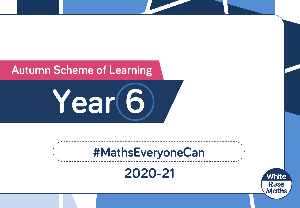## **Autumn Scheme of Learning**

**Year 6**

# **#MathsEveryoneCan**

## **2020-21**

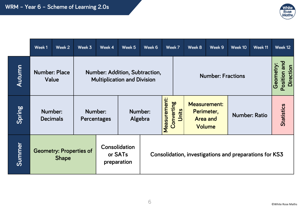

|        | Week 1                                         | Week 2                                                                                                       | Week 3                 | Week 4                                  | Week 5                                                 | Week 6 |                          | Week 7              | Week 8                                                         | Week 9 | Week 10              | Week 11                   |  | Week 12           |
|--------|------------------------------------------------|--------------------------------------------------------------------------------------------------------------|------------------------|-----------------------------------------|--------------------------------------------------------|--------|--------------------------|---------------------|----------------------------------------------------------------|--------|----------------------|---------------------------|--|-------------------|
| Autumn |                                                | <b>Number: Place</b><br><b>Number: Addition, Subtraction,</b><br>Value<br><b>Multiplication and Division</b> |                        |                                         |                                                        |        | <b>Number: Fractions</b> |                     |                                                                |        | Geometry:            | Position and<br>Direction |  |                   |
| Spring | Number:<br><b>Decimals</b>                     |                                                                                                              | Number:<br>Percentages |                                         | Number:<br>Algebra                                     |        | Measurement:             | Converting<br>Units | <b>Measurement:</b><br>Perimeter,<br><b>Area and</b><br>Volume |        | <b>Number: Ratio</b> |                           |  | <b>Statistics</b> |
| Summer | <b>Geometry: Properties of</b><br><b>Shape</b> |                                                                                                              |                        | Consolidation<br>or SATs<br>preparation | Consolidation, investigations and preparations for KS3 |        |                          |                     |                                                                |        |                      |                           |  |                   |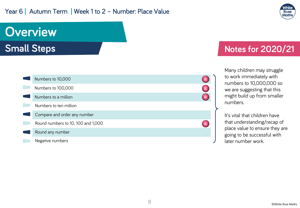#### Year 6 | Autumn Term | Week 1 to 2 - Number: Place Value



# **Overview**

**Small Steps**



### **Notes for 2020/21**

Many children may struggle to work immediately with numbers to 10,000,000 so we are suggesting that this might build up from smaller numbers.

It's vital that children have that understanding/recap of place value to ensure they are going to be successful with later number work.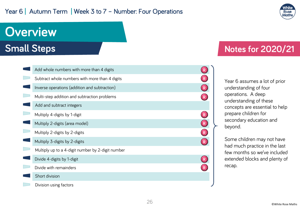#### Year 6 | Autumn Term | Week 3 to 7 - Number: Four Operations



## **Overview Small Steps**

Division using factors

| Add whole numbers with more than 4 digits         |              |
|---------------------------------------------------|--------------|
| Subtract whole numbers with more than 4 digits    |              |
| Inverse operations (addition and subtraction)     | $\mathsf{R}$ |
| Multi-step addition and subtraction problems      | $\mathsf{R}$ |
| Add and subtract integers                         |              |
| Multiply 4-digits by 1-digit                      |              |
| Multiply 2-digits (area model)                    | $\mathsf{R}$ |
| Multiply 2-digits by 2-digits                     | R            |
| Multiply 3-digits by 2-digits                     | $\mathsf{R}$ |
| Multiply up to a 4-digit number by 2-digit number |              |
| Divide 4-digits by 1-digit                        |              |
| Divide with remainders                            |              |
| Short division                                    |              |
|                                                   |              |

### **Notes for 2020/21**

Year 6 assumes a lot of prior understanding of four operations. A deep understanding of these concepts are essential to help prepare children for secondary education and beyond.

Some children may not have had much practice in the last few months so we've included extended blocks and plenty of recap.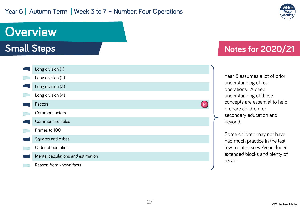#### Year 6 | Autumn Term | Week 3 to 7 - Number: Four Operations



## **Overview Small Steps** Long division (1) Long division (2)



### **Notes for 2020/21**

Year 6 assumes a lot of prior understanding of four operations. A deep understanding of these concepts are essential to help prepare children for secondary education and beyond.

Some children may not have had much practice in the last few months so we've included extended blocks and plenty of recap.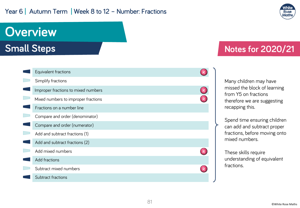#### Year 6 | Autumn Term | Week 8 to 12 - Number: Fractions



## **Overview**

**Small Steps**

| Equivalent fractions                |  |
|-------------------------------------|--|
| Simplify fractions                  |  |
| Improper fractions to mixed numbers |  |
| Mixed numbers to improper fractions |  |
| Fractions on a number line          |  |
| Compare and order (denominator)     |  |
| Compare and order (numerator)       |  |
| Add and subtract fractions (1)      |  |
| Add and subtract fractions (2)      |  |
| Add mixed numbers                   |  |
| Add fractions                       |  |
| Subtract mixed numbers              |  |
| Subtract fractions                  |  |

### **Notes for 2020/21**

Many children may have missed the block of learning from Y5 on fractions therefore we are suggesting recapping this.

Spend time ensuring children can add and subtract proper fractions, before moving onto mixed numbers.

These skills require understanding of equivalent fractions.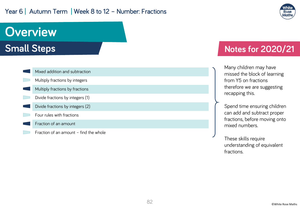#### Year 6 | Autumn Term | Week 8 to 12 - Number: Fractions



# **Overview**

### **Small Steps**

| Mixed addition and subtraction         |
|----------------------------------------|
| Multiply fractions by integers         |
| Multiply fractions by fractions        |
| Divide fractions by integers (1)       |
| Divide fractions by integers (2)       |
| Four rules with fractions              |
| Fraction of an amount                  |
| Fraction of an amount - find the whole |

### **Notes for 2020/21**

Many children may have missed the block of learning from Y5 on fractions therefore we are suggesting recapping this.

Spend time ensuring children can add and subtract proper fractions, before moving onto mixed numbers.

These skills require understanding of equivalent fractions.